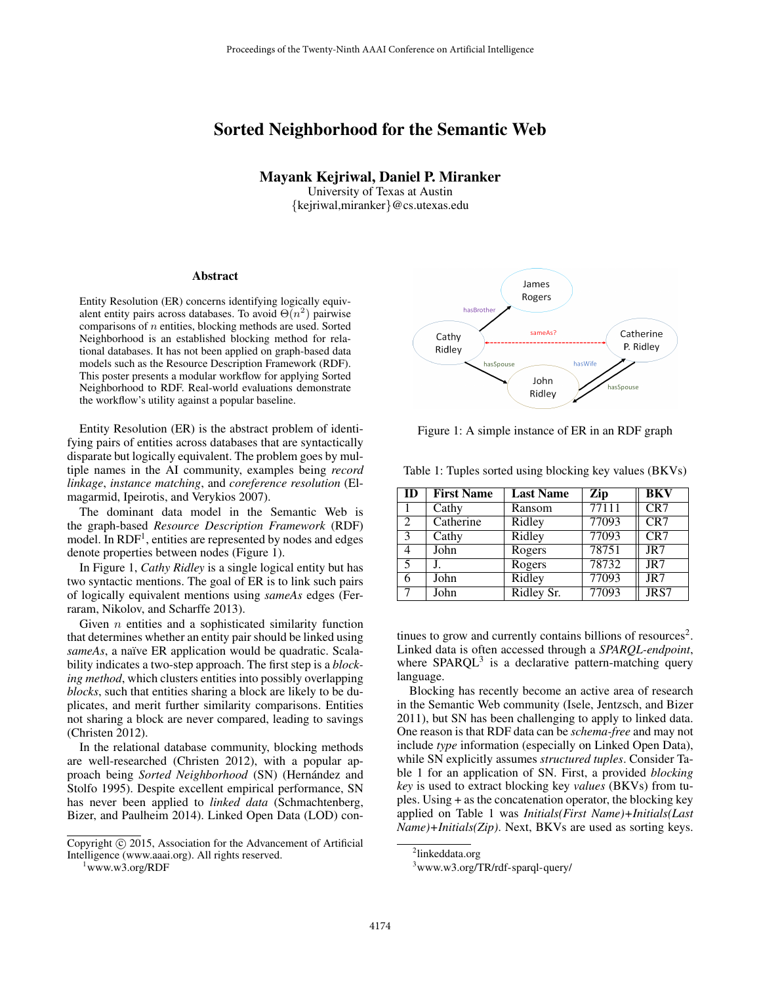## Sorted Neighborhood for the Semantic Web

## Mayank Kejriwal, Daniel P. Miranker

University of Texas at Austin {kejriwal,miranker}@cs.utexas.edu

## Abstract

Entity Resolution (ER) concerns identifying logically equivalent entity pairs across databases. To avoid  $\Theta(n^2)$  pairwise comparisons of  $n$  entities, blocking methods are used. Sorted Neighborhood is an established blocking method for relational databases. It has not been applied on graph-based data models such as the Resource Description Framework (RDF). This poster presents a modular workflow for applying Sorted Neighborhood to RDF. Real-world evaluations demonstrate the workflow's utility against a popular baseline.

Entity Resolution (ER) is the abstract problem of identifying pairs of entities across databases that are syntactically disparate but logically equivalent. The problem goes by multiple names in the AI community, examples being *record linkage*, *instance matching*, and *coreference resolution* (Elmagarmid, Ipeirotis, and Verykios 2007).

The dominant data model in the Semantic Web is the graph-based *Resource Description Framework* (RDF) model. In RDF<sup>1</sup>, entities are represented by nodes and edges denote properties between nodes (Figure 1).

In Figure 1, *Cathy Ridley* is a single logical entity but has two syntactic mentions. The goal of ER is to link such pairs of logically equivalent mentions using *sameAs* edges (Ferraram, Nikolov, and Scharffe 2013).

Given  $n$  entities and a sophisticated similarity function that determines whether an entity pair should be linked using *sameAs*, a naïve ER application would be quadratic. Scalability indicates a two-step approach. The first step is a *blocking method*, which clusters entities into possibly overlapping *blocks*, such that entities sharing a block are likely to be duplicates, and merit further similarity comparisons. Entities not sharing a block are never compared, leading to savings (Christen 2012).

In the relational database community, blocking methods are well-researched (Christen 2012), with a popular approach being *Sorted Neighborhood* (SN) (Hernández and Stolfo 1995). Despite excellent empirical performance, SN has never been applied to *linked data* (Schmachtenberg, Bizer, and Paulheim 2014). Linked Open Data (LOD) con-



Figure 1: A simple instance of ER in an RDF graph

Table 1: Tuples sorted using blocking key values (BKVs)

| ID | <b>First Name</b> | <b>Last Name</b> | Zip   | <b>BKV</b> |
|----|-------------------|------------------|-------|------------|
|    | Cathy             | Ransom           | 77111 | CR7        |
| 2  | Catherine         | Ridley           | 77093 | CR7        |
| 3  | Cathy             | Ridley           | 77093 | CR7        |
| 4  | John              | Rogers           | 78751 | JR7        |
| 5  |                   | Rogers           | 78732 | JR7        |
| 6  | John              | <b>Ridley</b>    | 77093 | JR7        |
|    | John              | Ridley Sr.       | 77093 | JRS7       |

tinues to grow and currently contains billions of resources<sup>2</sup>. Linked data is often accessed through a *SPARQL-endpoint*, where  $SPARCL<sup>3</sup>$  is a declarative pattern-matching query language.

Blocking has recently become an active area of research in the Semantic Web community (Isele, Jentzsch, and Bizer 2011), but SN has been challenging to apply to linked data. One reason is that RDF data can be *schema-free* and may not include *type* information (especially on Linked Open Data), while SN explicitly assumes *structured tuples*. Consider Table 1 for an application of SN. First, a provided *blocking key* is used to extract blocking key *values* (BKVs) from tuples. Using + as the concatenation operator, the blocking key applied on Table 1 was *Initials(First Name)+Initials(Last Name)+Initials(Zip)*. Next, BKVs are used as sorting keys.

Copyright (c) 2015, Association for the Advancement of Artificial Intelligence (www.aaai.org). All rights reserved.

<sup>1</sup>www.w3.org/RDF

<sup>&</sup>lt;sup>2</sup>linkeddata.org

<sup>3</sup>www.w3.org/TR/rdf-sparql-query/